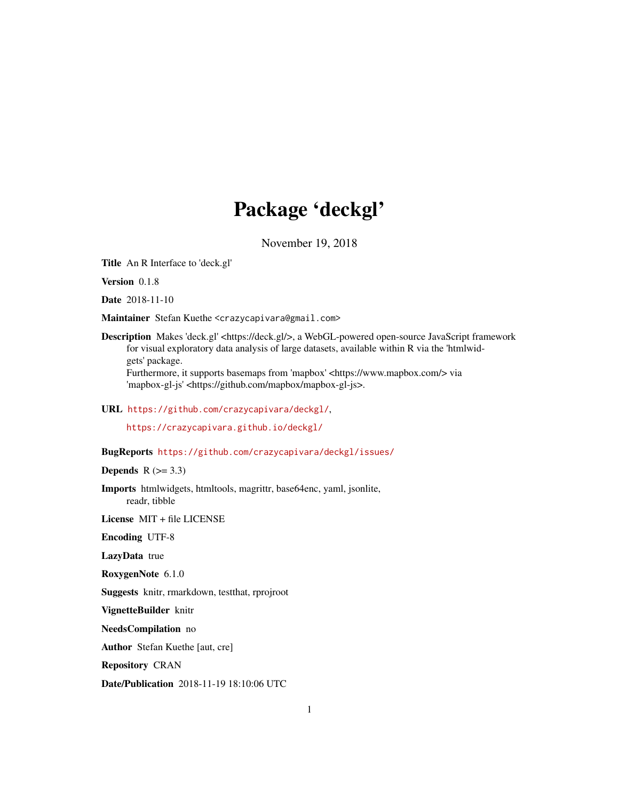# Package 'deckgl'

November 19, 2018

Title An R Interface to 'deck.gl'

Version 0.1.8

Date 2018-11-10

Maintainer Stefan Kuethe <crazycapivara@gmail.com>

Description Makes 'deck.gl' <https://deck.gl/>, a WebGL-powered open-source JavaScript framework for visual exploratory data analysis of large datasets, available within R via the 'htmlwidgets' package. Furthermore, it supports basemaps from 'mapbox' <https://www.mapbox.com/> via

'mapbox-gl-js' <https://github.com/mapbox/mapbox-gl-js>.

URL <https://github.com/crazycapivara/deckgl/>,

<https://crazycapivara.github.io/deckgl/>

BugReports <https://github.com/crazycapivara/deckgl/issues/>

Depends  $R$  ( $>= 3.3$ )

Imports htmlwidgets, htmltools, magrittr, base64enc, yaml, jsonlite, readr, tibble

License MIT + file LICENSE

Encoding UTF-8

LazyData true

RoxygenNote 6.1.0

Suggests knitr, rmarkdown, testthat, rprojroot

VignetteBuilder knitr

NeedsCompilation no

Author Stefan Kuethe [aut, cre]

Repository CRAN

Date/Publication 2018-11-19 18:10:06 UTC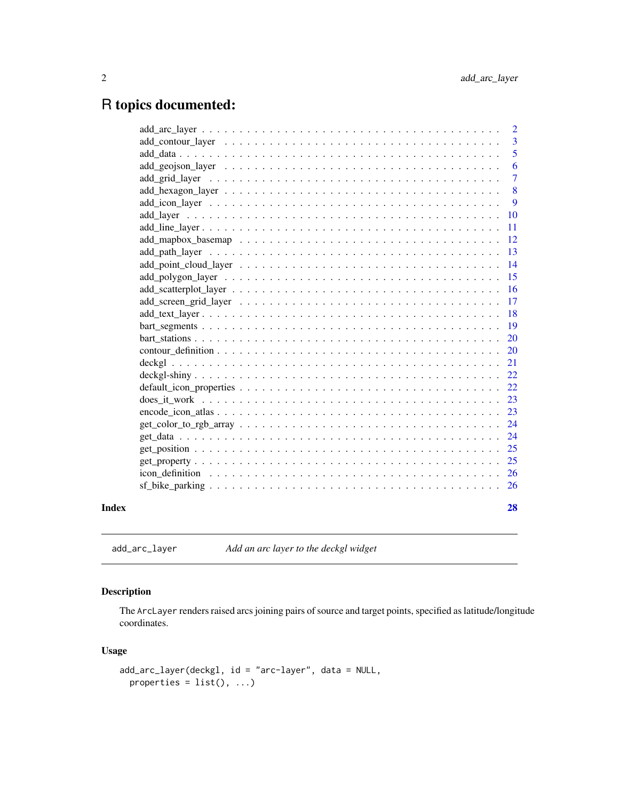## <span id="page-1-0"></span>R topics documented:

|       |                                                                                                                     | 2              |
|-------|---------------------------------------------------------------------------------------------------------------------|----------------|
|       |                                                                                                                     | 3              |
|       |                                                                                                                     | 5              |
|       |                                                                                                                     | 6              |
|       |                                                                                                                     | $\overline{7}$ |
|       |                                                                                                                     | 8              |
|       |                                                                                                                     | 9              |
|       |                                                                                                                     | 10             |
|       |                                                                                                                     | 11             |
|       |                                                                                                                     | <sup>12</sup>  |
|       |                                                                                                                     | 13             |
|       |                                                                                                                     | 14             |
|       |                                                                                                                     | 15             |
|       |                                                                                                                     | 16             |
|       |                                                                                                                     | 17             |
|       |                                                                                                                     | 18             |
|       |                                                                                                                     | 19             |
|       |                                                                                                                     | 20             |
|       |                                                                                                                     | 20             |
|       |                                                                                                                     | 21             |
|       |                                                                                                                     | 22             |
|       |                                                                                                                     | 22             |
|       |                                                                                                                     | 23             |
|       |                                                                                                                     | 23             |
|       | $get\_color_to_rgb_array \dots \dots \dots \dots \dots \dots \dots \dots \dots \dots \dots \dots \dots \dots \dots$ | 24             |
|       |                                                                                                                     | 24             |
|       |                                                                                                                     | 25             |
|       |                                                                                                                     | 25             |
|       |                                                                                                                     | 26             |
|       |                                                                                                                     | <sup>26</sup>  |
| Index |                                                                                                                     | 28             |

add\_arc\_layer *Add an arc layer to the deckgl widget*

### Description

The ArcLayer renders raised arcs joining pairs of source and target points, specified as latitude/longitude coordinates.

#### Usage

```
add_arc_layer(deckgl, id = "arc-layer", data = NULL,
 properties = list(), ...)
```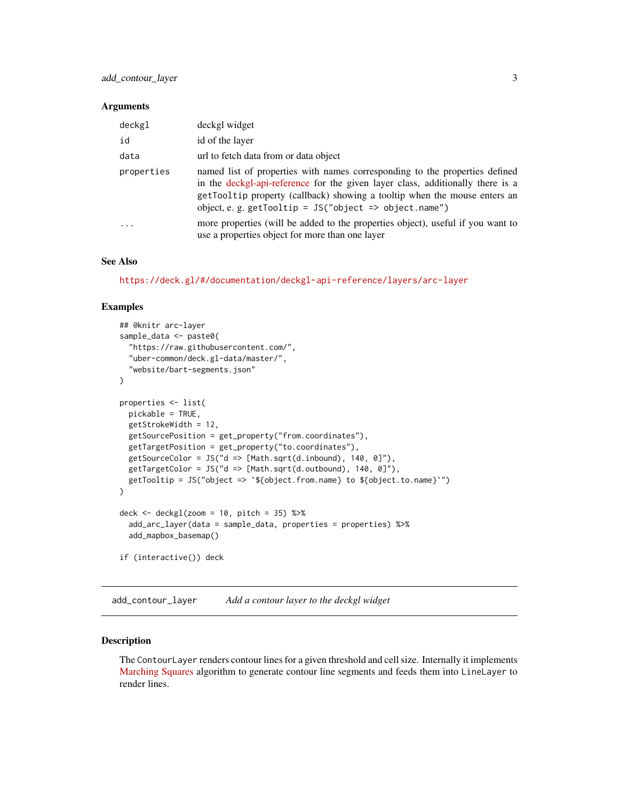#### <span id="page-2-0"></span>**Arguments**

| deckgl     | deckgl widget                                                                                                                                                                                                                                                                                          |
|------------|--------------------------------------------------------------------------------------------------------------------------------------------------------------------------------------------------------------------------------------------------------------------------------------------------------|
| id         | id of the layer                                                                                                                                                                                                                                                                                        |
| data       | url to fetch data from or data object                                                                                                                                                                                                                                                                  |
| properties | named list of properties with names corresponding to the properties defined<br>in the deckgl-api-reference for the given layer class, additionally there is a<br>getTooltip property (callback) showing a tooltip when the mouse enters an<br>object, e. g. getTooltip = $JS("object => object.name")$ |
|            | more properties (will be added to the properties object), useful if you want to<br>use a properties object for more than one layer                                                                                                                                                                     |

#### See Also

<https://deck.gl/#/documentation/deckgl-api-reference/layers/arc-layer>

#### Examples

```
## @knitr arc-layer
sample_data <- paste0(
  "https://raw.githubusercontent.com/",
  "uber-common/deck.gl-data/master/",
  "website/bart-segments.json"
)
properties <- list(
  pickable = TRUE,
  getStrokeWidth = 12,
  getSourcePosition = get_property("from.coordinates"),
  getTargetPosition = get_property("to.coordinates"),
  getSourceColor = JS("d => [Math.sqrt(d.inbound), 140, 0]"),getTargetColor = JS("d => [Math.sqrt(d.outbound), 140, 0]"),getTooltip = JS("object => `${object.from.name} to ${object.to.name}`")
)
deck \le deckgl(zoom = 10, pitch = 35) %>%
  add_arc_layer(data = sample_data, properties = properties) %>%
  add_mapbox_basemap()
if (interactive()) deck
```
add\_contour\_layer *Add a contour layer to the deckgl widget*

#### Description

The ContourLayer renders contour lines for a given threshold and cell size. Internally it implements [Marching Squares](https://en.wikipedia.org/wiki/Marching_squares) algorithm to generate contour line segments and feeds them into LineLayer to render lines.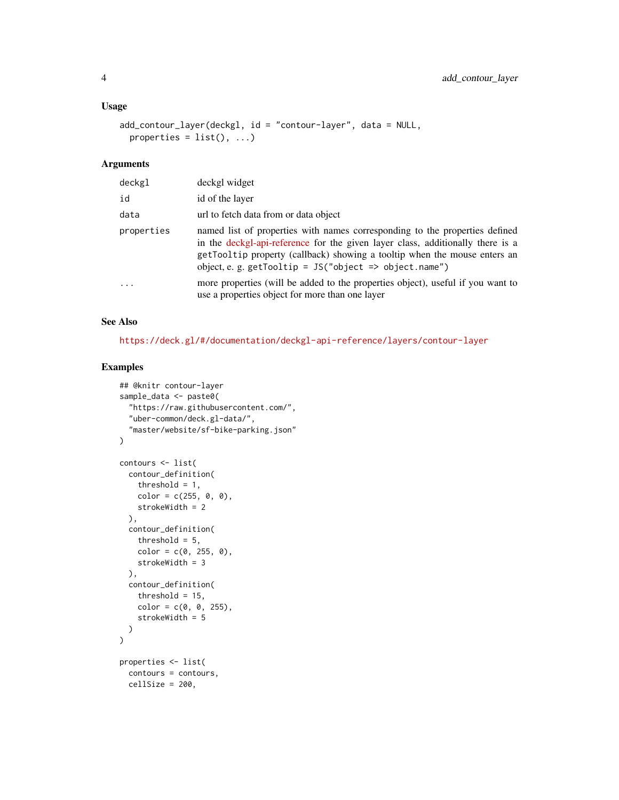#### Usage

```
add_contour_layer(deckgl, id = "contour-layer", data = NULL,
 properties = list(), ...)
```
#### Arguments

| deckgl     | deckgl widget                                                                                                                                                                                                                                                                                          |
|------------|--------------------------------------------------------------------------------------------------------------------------------------------------------------------------------------------------------------------------------------------------------------------------------------------------------|
| id         | id of the layer                                                                                                                                                                                                                                                                                        |
| data       | url to fetch data from or data object                                                                                                                                                                                                                                                                  |
| properties | named list of properties with names corresponding to the properties defined<br>in the deckgl-api-reference for the given layer class, additionally there is a<br>getTooltip property (callback) showing a tooltip when the mouse enters an<br>object, e. g. getTooltip = $JS("object => object.name")$ |
| .          | more properties (will be added to the properties object), useful if you want to<br>use a properties object for more than one layer                                                                                                                                                                     |

#### See Also

<https://deck.gl/#/documentation/deckgl-api-reference/layers/contour-layer>

```
## @knitr contour-layer
sample_data <- paste0(
  "https://raw.githubusercontent.com/",
  "uber-common/deck.gl-data/",
  "master/website/sf-bike-parking.json"
)
contours <- list(
 contour_definition(
   threshold = 1,
   color = c(255, 0, 0),
   strokeWidth = 2
  ),
  contour_definition(
   threshold = 5,
   color = c(0, 255, 0),
   strokeWidth = 3
  ),
  contour_definition(
    threshold = 15,
   color = c(0, 0, 255),
    strokeWidth = 5
 )
)
properties <- list(
  contours = contours,
  cellSize = 200,
```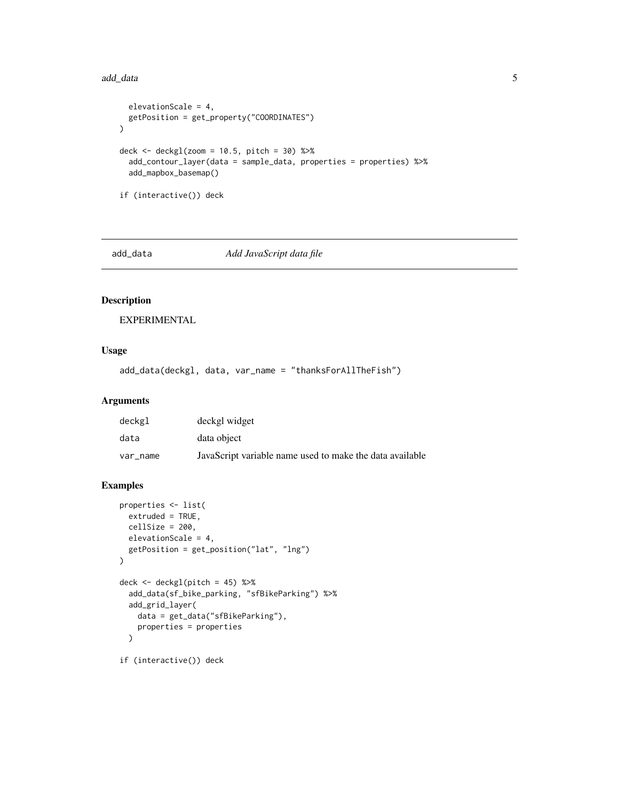#### <span id="page-4-0"></span>add\_data 5

```
elevationScale = 4,
  getPosition = get_property("COORDINATES")
\mathcal{L}deck <- \text{deckgl}(zoom = 10.5, pitch = 30) %>%
  add_contour_layer(data = sample_data, properties = properties) %>%
  add_mapbox_basemap()
if (interactive()) deck
```
<span id="page-4-1"></span>

add\_data *Add JavaScript data file*

#### Description

EXPERIMENTAL

#### Usage

add\_data(deckgl, data, var\_name = "thanksForAllTheFish")

#### Arguments

| deckgl   | deckgl widget                                            |
|----------|----------------------------------------------------------|
| data     | data object                                              |
| var name | JavaScript variable name used to make the data available |

```
properties <- list(
  extruded = TRUE,
  cellSize = 200,
  elevationScale = 4,
  getPosition = get_position("lat", "lng")
)
deck <- deckgl(pitch = 45) %>%
  add_data(sf_bike_parking, "sfBikeParking") %>%
  add_grid_layer(
   data = get_data("sfBikeParking"),
   properties = properties
  \lambdaif (interactive()) deck
```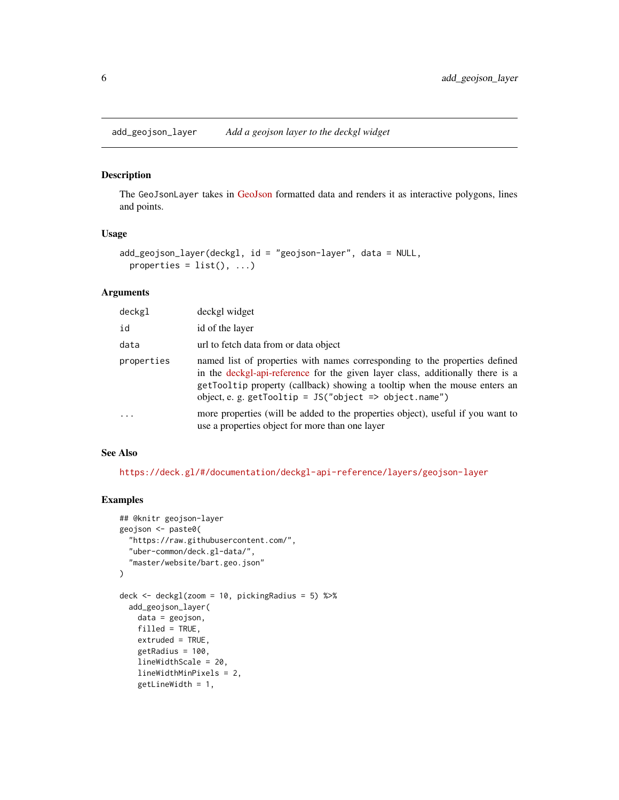<span id="page-5-0"></span>add\_geojson\_layer *Add a geojson layer to the deckgl widget*

#### Description

The GeoJsonLayer takes in [GeoJson](http://geojson.org) formatted data and renders it as interactive polygons, lines and points.

#### Usage

```
add_geojson_layer(deckgl, id = "geojson-layer", data = NULL,
 properties = list(), ...)
```
#### Arguments

| deckgl     | deckgl widget                                                                                                                                                                                                                                                                                          |
|------------|--------------------------------------------------------------------------------------------------------------------------------------------------------------------------------------------------------------------------------------------------------------------------------------------------------|
| id         | id of the layer                                                                                                                                                                                                                                                                                        |
| data       | url to fetch data from or data object                                                                                                                                                                                                                                                                  |
| properties | named list of properties with names corresponding to the properties defined<br>in the deckgl-api-reference for the given layer class, additionally there is a<br>getTooltip property (callback) showing a tooltip when the mouse enters an<br>object, e. g. getTooltip = $JS("object => object.name")$ |
| $\cdot$    | more properties (will be added to the properties object), useful if you want to<br>use a properties object for more than one layer                                                                                                                                                                     |

#### See Also

<https://deck.gl/#/documentation/deckgl-api-reference/layers/geojson-layer>

```
## @knitr geojson-layer
geojson <- paste0(
  "https://raw.githubusercontent.com/",
  "uber-common/deck.gl-data/",
  "master/website/bart.geo.json"
\lambdadeck <- deckgl(zoom = 10, pickingRadius = 5) %>%
  add_geojson_layer(
   data = geojson,
   filled = TRUE,
   extruded = TRUE,
   getRadius = 100,
   lineWidthScale = 20,
   lineWidthMinPixels = 2,
   getLineWidth = 1,
```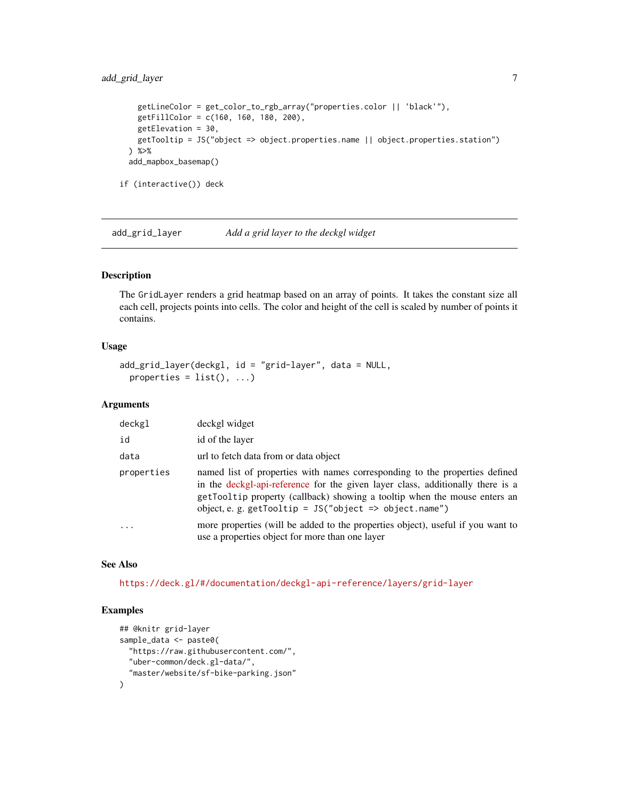#### <span id="page-6-0"></span>add\_grid\_layer 7

```
getLineColor = get_color_to_rgb_array("properties.color || 'black'"),
   getFillColor = c(160, 160, 180, 200),
   getElevation = 30,
   getTooltip = JS("object => object.properties.name || object.properties.station")
 ) %>%
 add_mapbox_basemap()
if (interactive()) deck
```
add\_grid\_layer *Add a grid layer to the deckgl widget*

#### Description

The GridLayer renders a grid heatmap based on an array of points. It takes the constant size all each cell, projects points into cells. The color and height of the cell is scaled by number of points it contains.

#### Usage

```
add_grid_layer(deckgl, id = "grid-layer", data = NULL,
 properties = list(), ...)
```
#### Arguments

| deckgl     | deckgl widget                                                                                                                                                                                                                                                                                          |
|------------|--------------------------------------------------------------------------------------------------------------------------------------------------------------------------------------------------------------------------------------------------------------------------------------------------------|
| id         | id of the layer                                                                                                                                                                                                                                                                                        |
| data       | url to fetch data from or data object                                                                                                                                                                                                                                                                  |
| properties | named list of properties with names corresponding to the properties defined<br>in the deckgl-api-reference for the given layer class, additionally there is a<br>getTooltip property (callback) showing a tooltip when the mouse enters an<br>object, e. g. getTooltip = $JS("object => object.name")$ |
| $\ddotsc$  | more properties (will be added to the properties object), useful if you want to<br>use a properties object for more than one layer                                                                                                                                                                     |

#### See Also

<https://deck.gl/#/documentation/deckgl-api-reference/layers/grid-layer>

```
## @knitr grid-layer
sample_data <- paste0(
  "https://raw.githubusercontent.com/",
  "uber-common/deck.gl-data/",
  "master/website/sf-bike-parking.json"
\mathcal{L}
```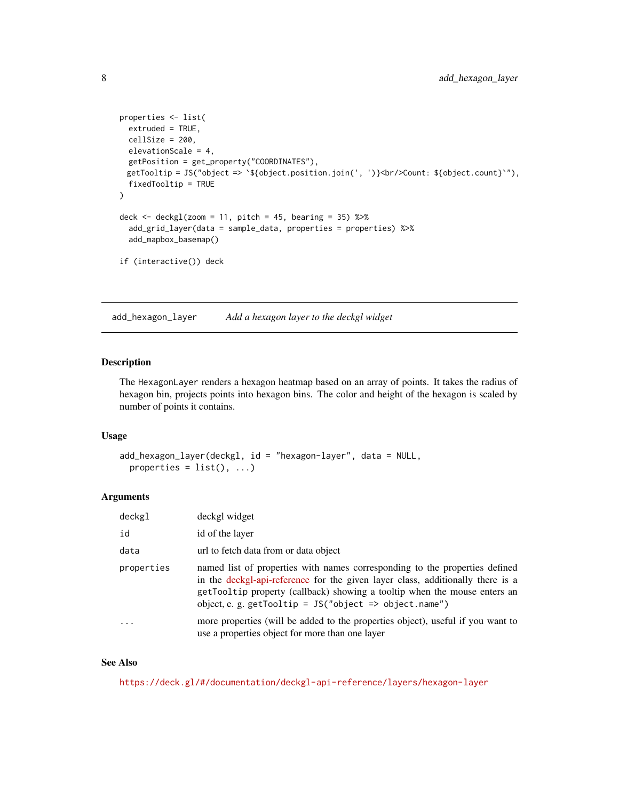```
properties <- list(
  extruded = TRUE,
  cellSize = 200,elevationScale = 4,
  getPosition = get_property("COORDINATES"),
 getTooltip = JS("object => `${object.position.join(', ')}<br/>Count: ${object.count}`"),
  fixedTooltip = TRUE
\lambdadeck \leq deckgl(zoom = 11, pitch = 45, bearing = 35) %\gg%
  add_grid_layer(data = sample_data, properties = properties) %>%
  add_mapbox_basemap()
if (interactive()) deck
```
add\_hexagon\_layer *Add a hexagon layer to the deckgl widget*

#### Description

The HexagonLayer renders a hexagon heatmap based on an array of points. It takes the radius of hexagon bin, projects points into hexagon bins. The color and height of the hexagon is scaled by number of points it contains.

#### Usage

```
add_hexagon_layer(deckgl, id = "hexagon-layer", data = NULL,
 properties = list(), ...)
```
#### Arguments

| deckgl     | deckgl widget                                                                                                                                                                                                                                                                                          |
|------------|--------------------------------------------------------------------------------------------------------------------------------------------------------------------------------------------------------------------------------------------------------------------------------------------------------|
| id         | id of the layer                                                                                                                                                                                                                                                                                        |
| data       | url to fetch data from or data object                                                                                                                                                                                                                                                                  |
| properties | named list of properties with names corresponding to the properties defined<br>in the deckgl-api-reference for the given layer class, additionally there is a<br>getTooltip property (callback) showing a tooltip when the mouse enters an<br>object, e. g. getTooltip = $JS("object => object.name")$ |
| .          | more properties (will be added to the properties object), useful if you want to<br>use a properties object for more than one layer                                                                                                                                                                     |

#### See Also

<https://deck.gl/#/documentation/deckgl-api-reference/layers/hexagon-layer>

<span id="page-7-0"></span>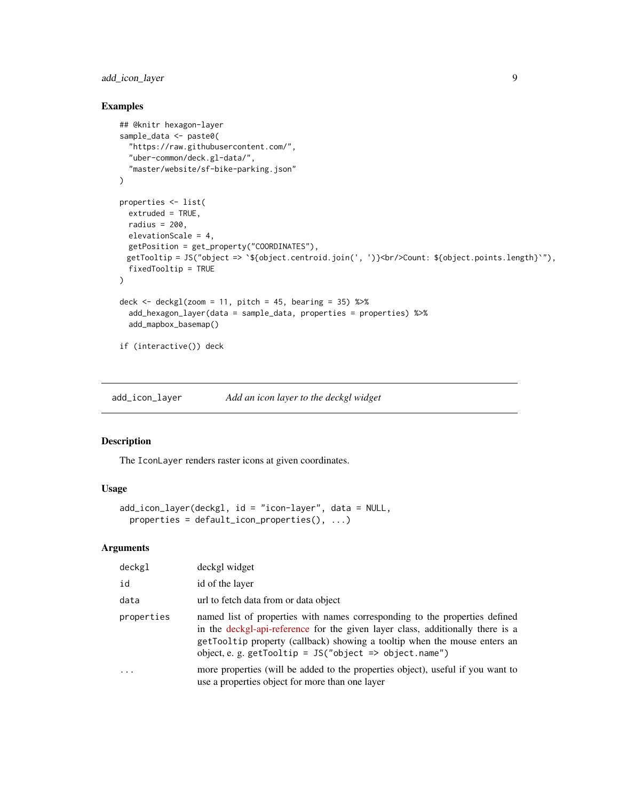#### <span id="page-8-0"></span>add\_icon\_layer 9

#### Examples

```
## @knitr hexagon-layer
sample_data <- paste0(
  "https://raw.githubusercontent.com/",
  "uber-common/deck.gl-data/",
  "master/website/sf-bike-parking.json"
\mathcal{L}properties <- list(
  extruded = TRUE,radius = 200,
  elevationScale = 4,
 getPosition = get_property("COORDINATES"),
 getTooltip = JS("object => `${object.centroid.join(', ')}<br/>Count: ${object.points.length}`"),
  fixedTooltip = TRUE
\lambdadeck \leq deckgl(zoom = 11, pitch = 45, bearing = 35) %>%
  add_hexagon_layer(data = sample_data, properties = properties) %>%
  add_mapbox_basemap()
if (interactive()) deck
```
add\_icon\_layer *Add an icon layer to the deckgl widget*

#### Description

The IconLayer renders raster icons at given coordinates.

#### Usage

```
add_icon_layer(deckgl, id = "icon-layer", data = NULL,
 properties = default_icon_properties(), ...)
```
#### Arguments

| deckgl widget                                                                                                                                                                                                                                                                                          |
|--------------------------------------------------------------------------------------------------------------------------------------------------------------------------------------------------------------------------------------------------------------------------------------------------------|
| id of the layer                                                                                                                                                                                                                                                                                        |
| url to fetch data from or data object                                                                                                                                                                                                                                                                  |
| named list of properties with names corresponding to the properties defined<br>in the deckgl-api-reference for the given layer class, additionally there is a<br>getTooltip property (callback) showing a tooltip when the mouse enters an<br>object, e. g. getTooltip = $JS("object => object.name")$ |
| more properties (will be added to the properties object), useful if you want to<br>use a properties object for more than one layer                                                                                                                                                                     |
|                                                                                                                                                                                                                                                                                                        |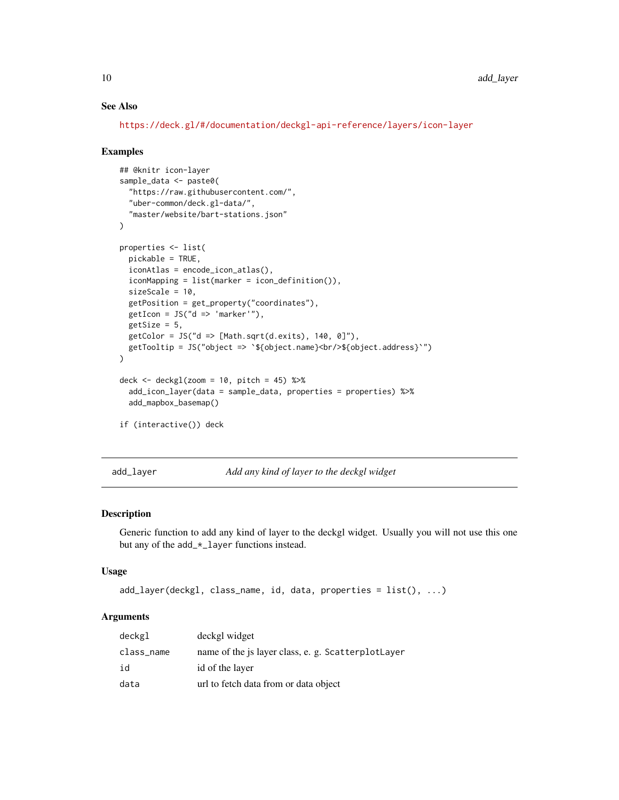#### See Also

<https://deck.gl/#/documentation/deckgl-api-reference/layers/icon-layer>

#### Examples

```
## @knitr icon-layer
sample_data <- paste0(
 "https://raw.githubusercontent.com/",
 "uber-common/deck.gl-data/",
  "master/website/bart-stations.json"
\mathcal{L}properties <- list(
 pickable = TRUE,
 iconAtlas = encode_icon_atlas(),
 iconMapping = list(marker = icon_definition()),
 sizeScale = 10,
 getPosition = get_property("coordinates"),
 getIcon = JS("d => 'marker'"),getSize = 5,
 getColor = JS("d => [Math.sqrt(d.exits), 140, 0]"),getTooltip = JS("object => `${object.name}<br/>${object.address}`")
)
deck \le deckgl(zoom = 10, pitch = 45) %>%
 add_icon_layer(data = sample_data, properties = properties) %>%
 add_mapbox_basemap()
if (interactive()) deck
```
add\_layer *Add any kind of layer to the deckgl widget*

#### Description

Generic function to add any kind of layer to the deckgl widget. Usually you will not use this one but any of the add\_\*\_layer functions instead.

#### Usage

```
add\_layer(deckgl, class_name, id, data, properties = list(), ...)
```
#### Arguments

| deckgl     | deckgl widget                                      |
|------------|----------------------------------------------------|
| class_name | name of the is layer class, e. g. ScatterplotLayer |
| id         | id of the layer                                    |
| data       | url to fetch data from or data object              |

<span id="page-9-0"></span>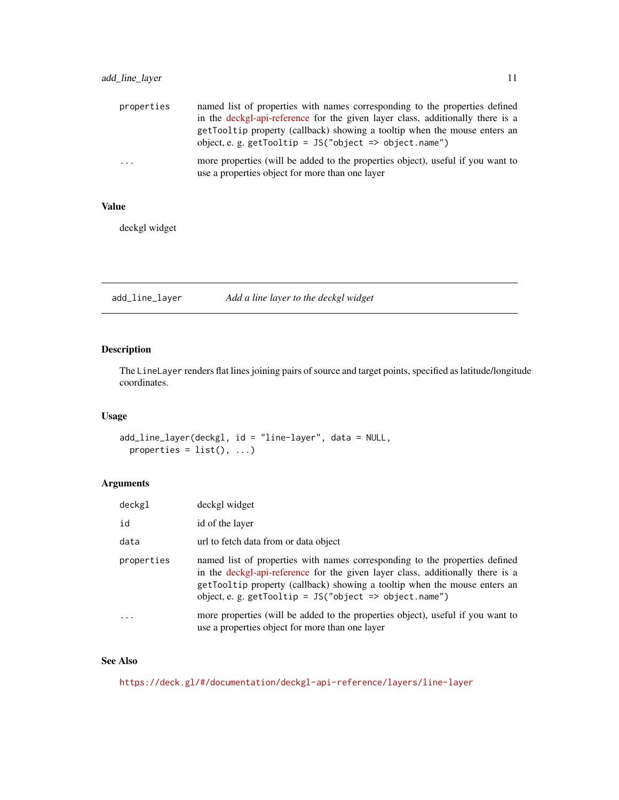<span id="page-10-0"></span>

| properties                                                                                                                              | named list of properties with names corresponding to the properties defined                                                         |
|-----------------------------------------------------------------------------------------------------------------------------------------|-------------------------------------------------------------------------------------------------------------------------------------|
|                                                                                                                                         | in the deckgl-api-reference for the given layer class, additionally there is a                                                      |
|                                                                                                                                         | getTooltip property (callback) showing a tooltip when the mouse enters an<br>object, e. g. getTooltip = JS("object => object.name") |
|                                                                                                                                         |                                                                                                                                     |
| more properties (will be added to the properties object), useful if you want to<br>.<br>use a properties object for more than one layer |                                                                                                                                     |

#### Value

deckgl widget

add\_line\_layer *Add a line layer to the deckgl widget*

#### Description

The LineLayer renders flat lines joining pairs of source and target points, specified as latitude/longitude coordinates.

#### Usage

```
add_line_layer(deckgl, id = "line-layer", data = NULL,
 properties = list(), ...)
```
#### Arguments

| deckgl     | deckgl widget                                                                                                                                                                                                                                                                                          |
|------------|--------------------------------------------------------------------------------------------------------------------------------------------------------------------------------------------------------------------------------------------------------------------------------------------------------|
| id         | id of the layer                                                                                                                                                                                                                                                                                        |
| data       | url to fetch data from or data object                                                                                                                                                                                                                                                                  |
| properties | named list of properties with names corresponding to the properties defined<br>in the deckgl-api-reference for the given layer class, additionally there is a<br>getTooltip property (callback) showing a tooltip when the mouse enters an<br>object, e. g. getTooltip = $JS("object => object.name")$ |
| $\cdot$    | more properties (will be added to the properties object), useful if you want to<br>use a properties object for more than one layer                                                                                                                                                                     |

#### See Also

<https://deck.gl/#/documentation/deckgl-api-reference/layers/line-layer>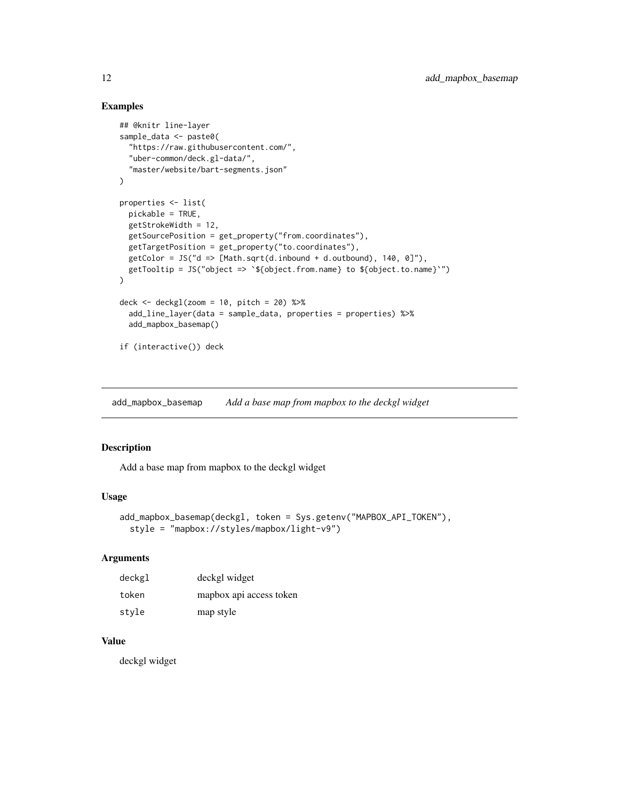#### Examples

```
## @knitr line-layer
sample_data <- paste0(
  "https://raw.githubusercontent.com/",
  "uber-common/deck.gl-data/",
  "master/website/bart-segments.json"
\mathcal{L}properties <- list(
  pickable = TRUE,
  getStrokeWidth = 12,
  getSourcePosition = get_property("from.coordinates"),
  getTargetPosition = get_property("to.coordinates"),
  getColor = JS('d => [Math.sqrt(d.inbound + d.outbound), 140, 0]"),getTooltip = JS("object => `${object.from.name} to ${object.to.name}`")
)
deck \le deckgl(zoom = 10, pitch = 20) %>%
  add_line_layer(data = sample_data, properties = properties) %>%
  add_mapbox_basemap()
if (interactive()) deck
```
add\_mapbox\_basemap *Add a base map from mapbox to the deckgl widget*

#### Description

Add a base map from mapbox to the deckgl widget

#### Usage

```
add_mapbox_basemap(deckgl, token = Sys.getenv("MAPBOX_API_TOKEN"),
  style = "mapbox://styles/mapbox/light-v9")
```
#### Arguments

| deckgl | deckgl widget           |
|--------|-------------------------|
| token  | mapbox api access token |
| style  | map style               |

#### Value

deckgl widget

<span id="page-11-0"></span>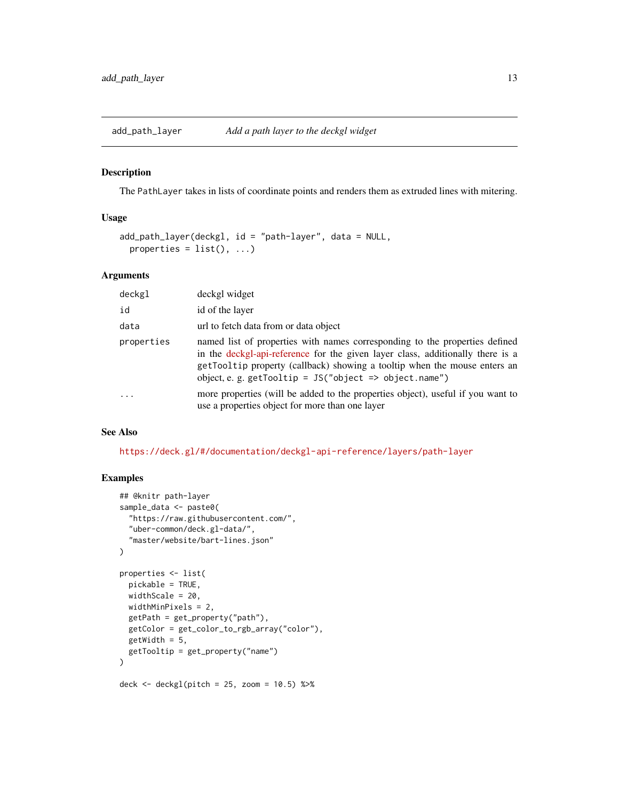<span id="page-12-0"></span>

#### Description

The PathLayer takes in lists of coordinate points and renders them as extruded lines with mitering.

#### Usage

```
add_path_layer(deckgl, id = "path-layer", data = NULL,
 properties = list(), ...)
```
#### Arguments

| deckgl     | deckgl widget                                                                                                                                                                                                                                                                                          |
|------------|--------------------------------------------------------------------------------------------------------------------------------------------------------------------------------------------------------------------------------------------------------------------------------------------------------|
| id         | id of the layer                                                                                                                                                                                                                                                                                        |
| data       | url to fetch data from or data object                                                                                                                                                                                                                                                                  |
| properties | named list of properties with names corresponding to the properties defined<br>in the deckgl-api-reference for the given layer class, additionally there is a<br>getTooltip property (callback) showing a tooltip when the mouse enters an<br>object, e. g. getTooltip = $JS("object => object.name")$ |
| $\cdot$    | more properties (will be added to the properties object), useful if you want to<br>use a properties object for more than one layer                                                                                                                                                                     |

#### See Also

<https://deck.gl/#/documentation/deckgl-api-reference/layers/path-layer>

```
## @knitr path-layer
sample_data <- paste0(
  "https://raw.githubusercontent.com/",
  "uber-common/deck.gl-data/",
  "master/website/bart-lines.json"
\lambdaproperties <- list(
  pickable = TRUE,
  widthScale = 20,
  widthMinPixels = 2,
  getPath = get_property("path"),
  getColor = get_color_to_rgb_array("color"),
  getWidth = 5,
  getTooltip = get_property("name")
\mathcal{L}deck \le deckgl(pitch = 25, zoom = 10.5) %>%
```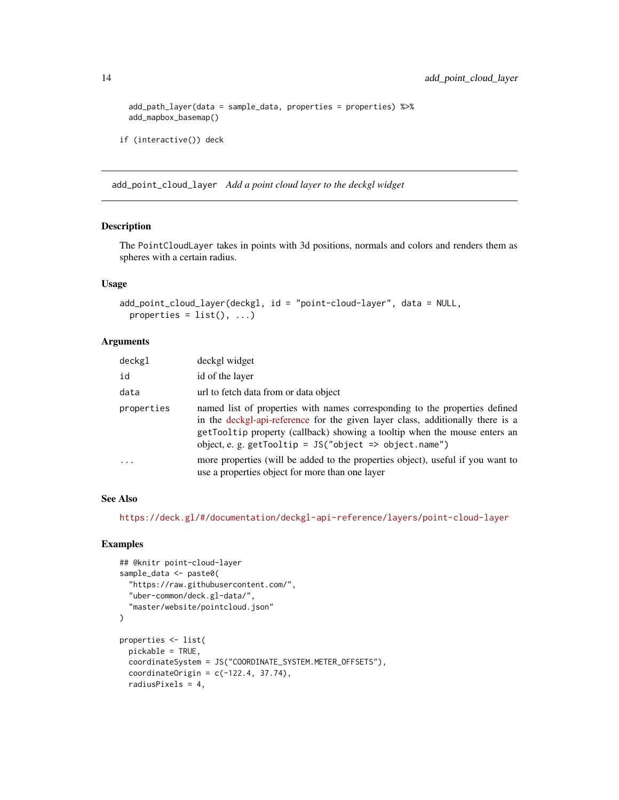```
add_path_layer(data = sample_data, properties = properties) %>%
add_mapbox_basemap()
```

```
if (interactive()) deck
```
add\_point\_cloud\_layer *Add a point cloud layer to the deckgl widget*

#### Description

The PointCloudLayer takes in points with 3d positions, normals and colors and renders them as spheres with a certain radius.

#### Usage

```
add_point_cloud_layer(deckgl, id = "point-cloud-layer", data = NULL,
 properties = list(), ...)
```
#### Arguments

| deckgl     | deckgl widget                                                                                                                                                                                                                                                                                          |
|------------|--------------------------------------------------------------------------------------------------------------------------------------------------------------------------------------------------------------------------------------------------------------------------------------------------------|
| id         | id of the layer                                                                                                                                                                                                                                                                                        |
| data       | url to fetch data from or data object                                                                                                                                                                                                                                                                  |
| properties | named list of properties with names corresponding to the properties defined<br>in the deckgl-api-reference for the given layer class, additionally there is a<br>getTooltip property (callback) showing a tooltip when the mouse enters an<br>object, e. g. getTooltip = $JS("object => object.name")$ |
| $\cdot$    | more properties (will be added to the properties object), useful if you want to<br>use a properties object for more than one layer                                                                                                                                                                     |

#### See Also

<https://deck.gl/#/documentation/deckgl-api-reference/layers/point-cloud-layer>

```
## @knitr point-cloud-layer
sample_data <- paste0(
  "https://raw.githubusercontent.com/",
  "uber-common/deck.gl-data/",
  "master/website/pointcloud.json"
\overline{)}properties <- list(
  pickable = TRUE,
  coordinateSystem = JS("COORDINATE_SYSTEM.METER_OFFSETS"),
  coordinateOrigin = c(-122.4, 37.74),
  radiusPixels = 4,
```
<span id="page-13-0"></span>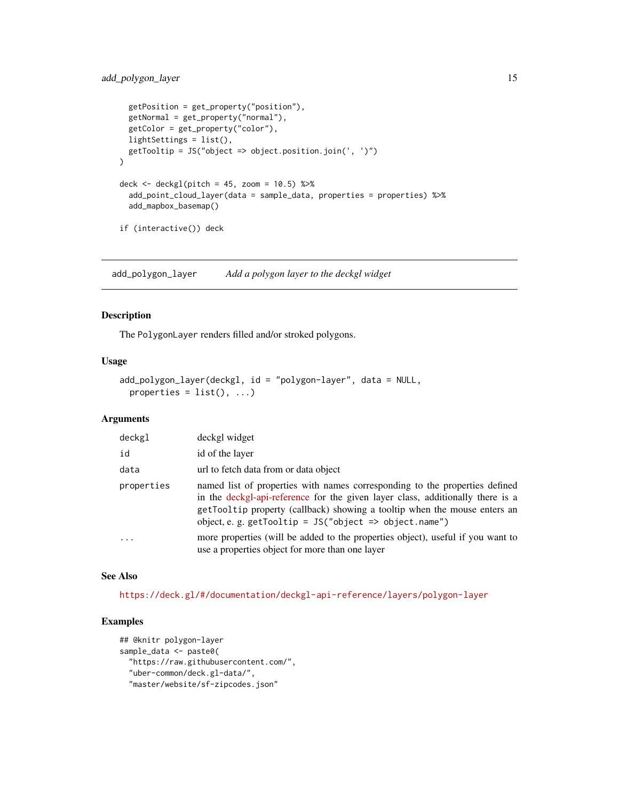#### <span id="page-14-0"></span>add\_polygon\_layer 15

```
getPosition = get_property("position"),
 getNormal = get_property("normal"),
 getColor = get_property("color"),
 lightSettings = list(),
 getTooltip = JS("object => object.position.join(', ')")
\mathcal{L}deck <- deckgl(pitch = 45, zoom = 10.5) %>%
 add_point_cloud_layer(data = sample_data, properties = properties) %>%
 add_mapbox_basemap()
if (interactive()) deck
```
add\_polygon\_layer *Add a polygon layer to the deckgl widget*

#### Description

The PolygonLayer renders filled and/or stroked polygons.

#### Usage

```
add_polygon_layer(deckgl, id = "polygon-layer", data = NULL,
 properties = list(), ...)
```
#### Arguments

| deckgl     | deckgl widget                                                                                                                                                                                                                                                                                          |
|------------|--------------------------------------------------------------------------------------------------------------------------------------------------------------------------------------------------------------------------------------------------------------------------------------------------------|
| id         | id of the layer                                                                                                                                                                                                                                                                                        |
| data       | url to fetch data from or data object                                                                                                                                                                                                                                                                  |
| properties | named list of properties with names corresponding to the properties defined<br>in the deckgl-api-reference for the given layer class, additionally there is a<br>getTooltip property (callback) showing a tooltip when the mouse enters an<br>object, e. g. getTooltip = $JS("object => object.name")$ |
| .          | more properties (will be added to the properties object), useful if you want to<br>use a properties object for more than one layer                                                                                                                                                                     |

#### See Also

<https://deck.gl/#/documentation/deckgl-api-reference/layers/polygon-layer>

```
## @knitr polygon-layer
sample_data <- paste0(
 "https://raw.githubusercontent.com/",
 "uber-common/deck.gl-data/",
 "master/website/sf-zipcodes.json"
```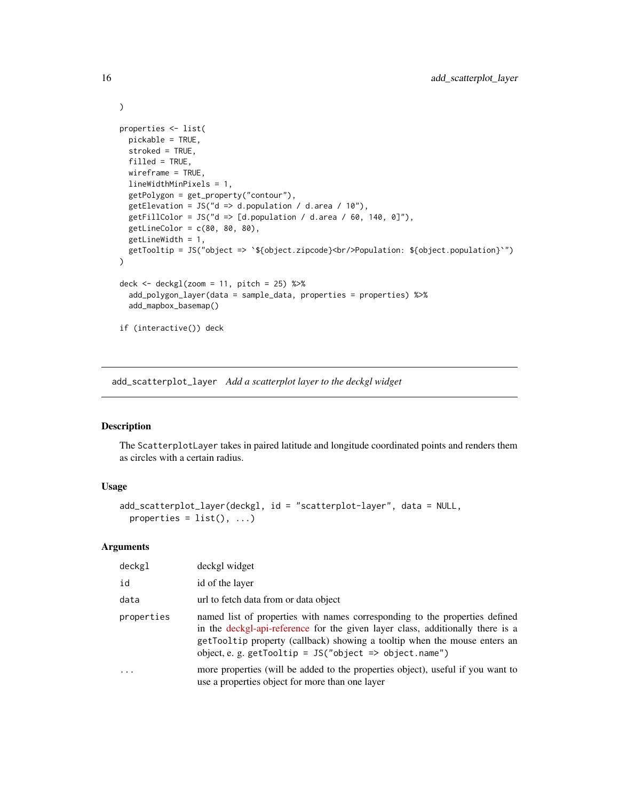```
properties <- list(
  pickable = TRUE,
  stroked = TRUE,
  filled = TRUE,
  wireframe = TRUE,
  lineWidthMinPixels = 1,
  getPolygon = get_property("contour"),
  getElevation = JS("d => d.population / d.area / 10"),
  getFillColor = JS("d => [d.population / d.area / 60, 140, 0]"),
  getLineColor = c(80, 80, 80),
  getLineWidth = 1,
  getTooltip = JS("object => `${object.zipcode}<br/>Population: ${object.population}`")
)
deck <- deckgl(zoom = 11, pitch = 25) %>%
  add_polygon_layer(data = sample_data, properties = properties) %>%
  add_mapbox_basemap()
if (interactive()) deck
```
add\_scatterplot\_layer *Add a scatterplot layer to the deckgl widget*

#### Description

The ScatterplotLayer takes in paired latitude and longitude coordinated points and renders them as circles with a certain radius.

#### Usage

```
add_scatterplot_layer(deckgl, id = "scatterplot-layer", data = NULL,
 properties = list(), ...)
```
#### Arguments

| deckgl     | deckgl widget                                                                                                                                                                                                                                                                                          |
|------------|--------------------------------------------------------------------------------------------------------------------------------------------------------------------------------------------------------------------------------------------------------------------------------------------------------|
| id         | id of the layer                                                                                                                                                                                                                                                                                        |
| data       | url to fetch data from or data object                                                                                                                                                                                                                                                                  |
| properties | named list of properties with names corresponding to the properties defined<br>in the deckgl-api-reference for the given layer class, additionally there is a<br>getTooltip property (callback) showing a tooltip when the mouse enters an<br>object, e. g. getTooltip = $JS("object => object.name")$ |
| $\cdots$   | more properties (will be added to the properties object), useful if you want to<br>use a properties object for more than one layer                                                                                                                                                                     |

<span id="page-15-0"></span>

)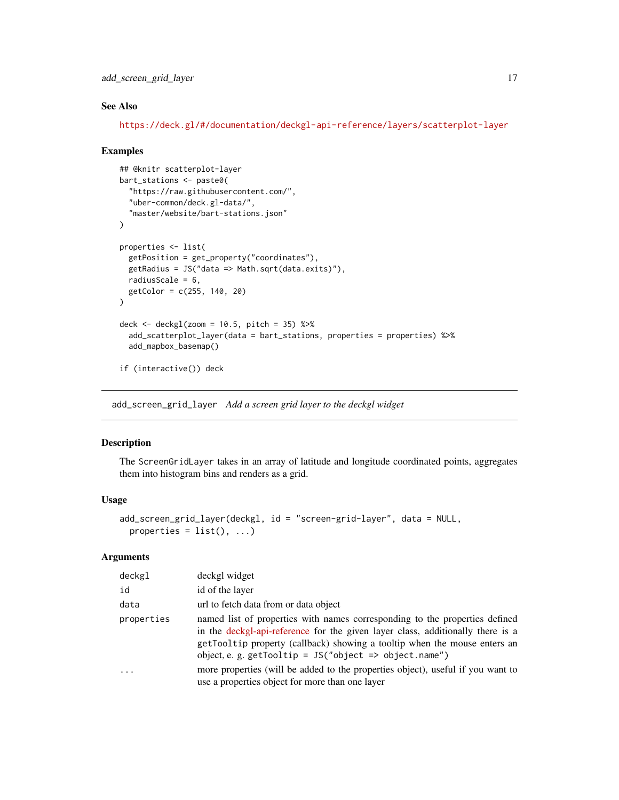<span id="page-16-0"></span>add\_screen\_grid\_layer 17

#### See Also

<https://deck.gl/#/documentation/deckgl-api-reference/layers/scatterplot-layer>

#### Examples

```
## @knitr scatterplot-layer
bart_stations <- paste0(
  "https://raw.githubusercontent.com/",
  "uber-common/deck.gl-data/",
  "master/website/bart-stations.json"
\lambdaproperties <- list(
  getPosition = get_property("coordinates"),
  getRadius = JS("data => Math.sqrt(data.exits)"),
 radiusScale = 6,
  getColor = c(255, 140, 20)
\lambdadeck \le deckgl(zoom = 10.5, pitch = 35) %>%
  add_scatterplot_layer(data = bart_stations, properties = properties) %>%
  add_mapbox_basemap()
if (interactive()) deck
```
add\_screen\_grid\_layer *Add a screen grid layer to the deckgl widget*

#### Description

The ScreenGridLayer takes in an array of latitude and longitude coordinated points, aggregates them into histogram bins and renders as a grid.

#### Usage

```
add_screen_grid_layer(deckgl, id = "screen-grid-layer", data = NULL,
 properties = list(), ...)
```
#### Arguments

| deckgl     | deckgl widget                                                                                                                                                                                                                                                                                          |
|------------|--------------------------------------------------------------------------------------------------------------------------------------------------------------------------------------------------------------------------------------------------------------------------------------------------------|
| id         | id of the layer                                                                                                                                                                                                                                                                                        |
| data       | url to fetch data from or data object                                                                                                                                                                                                                                                                  |
| properties | named list of properties with names corresponding to the properties defined<br>in the deckgl-api-reference for the given layer class, additionally there is a<br>getTooltip property (callback) showing a tooltip when the mouse enters an<br>object, e. g. getTooltip = $JS("object => object.name")$ |
|            | more properties (will be added to the properties object), useful if you want to<br>use a properties object for more than one layer                                                                                                                                                                     |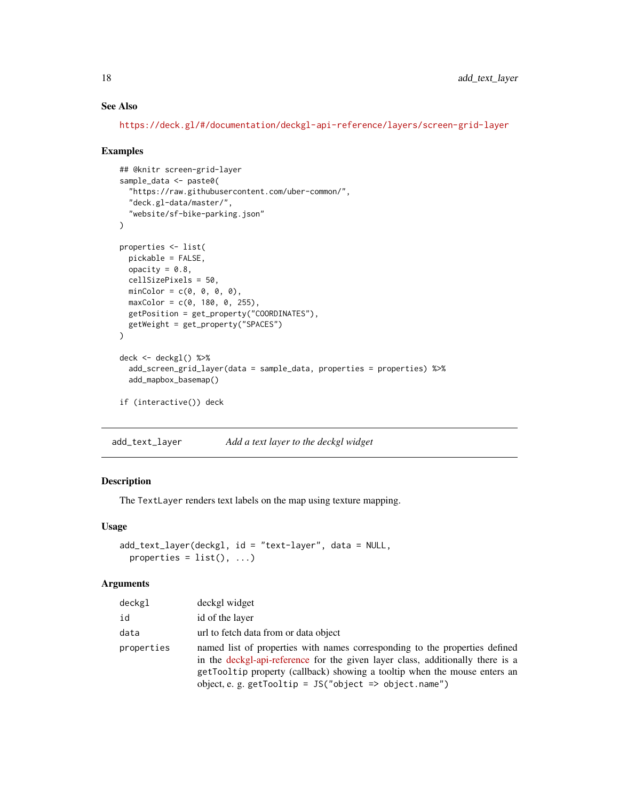#### See Also

<https://deck.gl/#/documentation/deckgl-api-reference/layers/screen-grid-layer>

#### Examples

```
## @knitr screen-grid-layer
sample_data <- paste0(
  "https://raw.githubusercontent.com/uber-common/",
  "deck.gl-data/master/",
  "website/sf-bike-parking.json"
)
properties <- list(
  pickable = FALSE,
 opacity = 0.8,
 cellSizePixels = 50,
 minColor = c(0, 0, 0, 0),
 maxColor = c(0, 180, 0, 255),
  getPosition = get_property("COORDINATES"),
  getWeight = get_property("SPACES")
\mathcal{L}deck <- deckgl() %>%
  add_screen_grid_layer(data = sample_data, properties = properties) %>%
  add_mapbox_basemap()
if (interactive()) deck
```
add\_text\_layer *Add a text layer to the deckgl widget*

#### Description

The TextLayer renders text labels on the map using texture mapping.

#### Usage

```
add_text_layer(deckgl, id = "text-layer", data = NULL,
 properties = list(), ...)
```
#### Arguments

| deckgl     | deckgl widget                                                                                                                                                                                                                                                                                          |
|------------|--------------------------------------------------------------------------------------------------------------------------------------------------------------------------------------------------------------------------------------------------------------------------------------------------------|
| id         | id of the layer                                                                                                                                                                                                                                                                                        |
| data       | url to fetch data from or data object                                                                                                                                                                                                                                                                  |
| properties | named list of properties with names corresponding to the properties defined<br>in the deckgl-api-reference for the given layer class, additionally there is a<br>getTooltip property (callback) showing a tooltip when the mouse enters an<br>object, e. g. getTooltip = $JS("object => object.name")$ |

<span id="page-17-0"></span>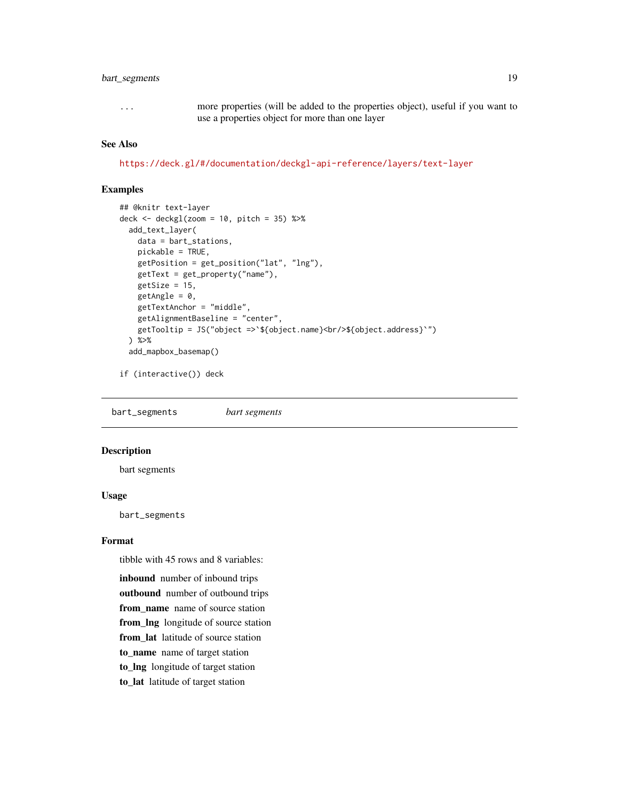#### <span id="page-18-0"></span>bart\_segments 19

... more properties (will be added to the properties object), useful if you want to use a properties object for more than one layer

#### See Also

<https://deck.gl/#/documentation/deckgl-api-reference/layers/text-layer>

#### Examples

```
## @knitr text-layer
deck \le deckgl(zoom = 10, pitch = 35) %>%
 add_text_layer(
   data = bart_stations,
   pickable = TRUE,
   getPosition = get_position("lat", "lng"),
   getText = get_property("name"),
   getSize = 15,
   getAngle = 0,
   getTextAnchor = "middle",
   getAlignmentBaseline = "center",
   getTooltip = JS("object =>`${object.name}<br/>${object.address}`")
 ) %>%
 add_mapbox_basemap()
```
if (interactive()) deck

bart\_segments *bart segments*

#### Description

bart segments

#### Usage

bart\_segments

#### Format

tibble with 45 rows and 8 variables:

inbound number of inbound trips outbound number of outbound trips from name name of source station from\_lng longitude of source station from\_lat latitude of source station to\_name name of target station to\_lng longitude of target station to\_lat latitude of target station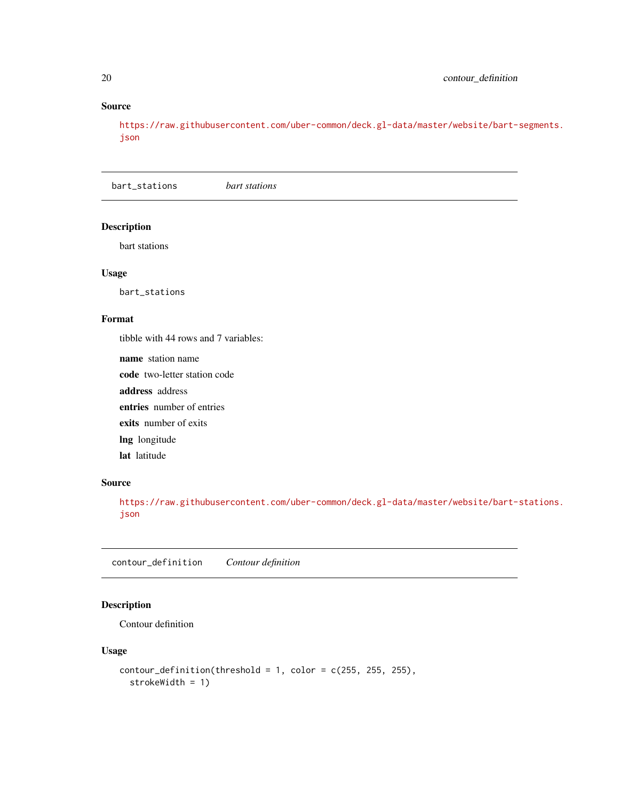#### Source

[https://raw.githubusercontent.com/uber-common/deck.gl-data/master/website/bart-](https://raw.githubusercontent.com/uber-common/deck.gl-data/master/website/bart-segments.json)segments. [json](https://raw.githubusercontent.com/uber-common/deck.gl-data/master/website/bart-segments.json)

bart\_stations *bart stations*

#### Description

bart stations

#### Usage

bart\_stations

#### Format

tibble with 44 rows and 7 variables:

name station name code two-letter station code address address entries number of entries exits number of exits lng longitude lat latitude

#### Source

[https://raw.githubusercontent.com/uber-common/deck.gl-data/master/website/bart-](https://raw.githubusercontent.com/uber-common/deck.gl-data/master/website/bart-stations.json)stations. [json](https://raw.githubusercontent.com/uber-common/deck.gl-data/master/website/bart-stations.json)

contour\_definition *Contour definition*

#### Description

Contour definition

#### Usage

```
contour\_definition(threshold = 1, color = c(255, 255, 255),strokeWidth = 1)
```
<span id="page-19-0"></span>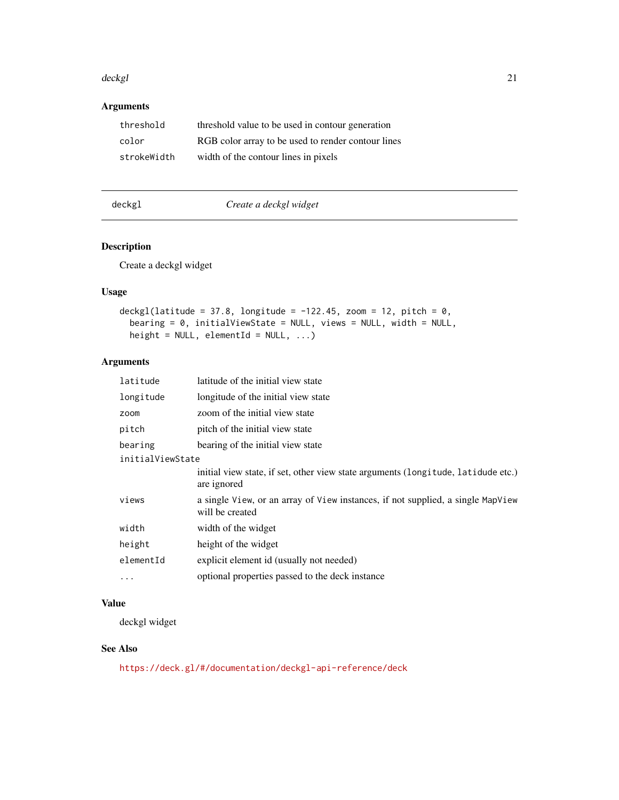#### <span id="page-20-0"></span>deckgl **21**

#### Arguments

| threshold   | threshold value to be used in contour generation   |
|-------------|----------------------------------------------------|
| color       | RGB color array to be used to render contour lines |
| strokeWidth | width of the contour lines in pixels               |

deckgl *Create a deckgl widget*

#### Description

Create a deckgl widget

#### Usage

```
deckgl(latitude = 37.8, longitude = -122.45, zoom = 12, pitch = 0,
 bearing = 0, initialViewState = NULL, views = NULL, width = NULL,
 height = NULL, elementId = NULL, ...)
```
#### Arguments

| latitude         | latitude of the initial view state                                                                 |
|------------------|----------------------------------------------------------------------------------------------------|
| longitude        | longitude of the initial view state                                                                |
| zoom             | zoom of the initial view state                                                                     |
| pitch            | pitch of the initial view state                                                                    |
| bearing          | bearing of the initial view state                                                                  |
| initialViewState |                                                                                                    |
|                  | initial view state, if set, other view state arguments (longitude, latidude etc.)<br>are ignored   |
| views            | a single View, or an array of View instances, if not supplied, a single MapView<br>will be created |
| width            | width of the widget                                                                                |
| height           | height of the widget                                                                               |
| elementId        | explicit element id (usually not needed)                                                           |
| $\cdots$         | optional properties passed to the deck instance                                                    |

#### Value

deckgl widget

#### See Also

<https://deck.gl/#/documentation/deckgl-api-reference/deck>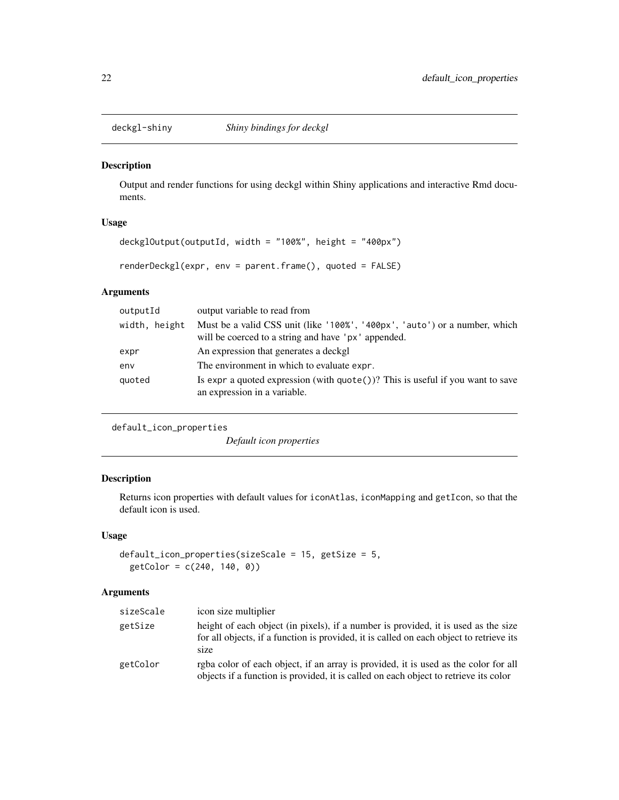<span id="page-21-0"></span>

#### Description

Output and render functions for using deckgl within Shiny applications and interactive Rmd documents.

#### Usage

```
deckglOutput(outputId, width = "100%", height = "400px")
```

```
renderDeckgl(expr, env = parent.frame(), quoted = FALSE)
```
#### Arguments

| outputId      | output variable to read from                                                                                                      |
|---------------|-----------------------------------------------------------------------------------------------------------------------------------|
| width, height | Must be a valid CSS unit (like '100%', '400px', 'auto') or a number, which<br>will be coerced to a string and have 'px' appended. |
| expr          | An expression that generates a deckgl                                                                                             |
| env           | The environment in which to evaluate expr.                                                                                        |
| quoted        | Is expr a quoted expression (with $\text{quote}()$ )? This is useful if you want to save<br>an expression in a variable.          |

```
default_icon_properties
```
*Default icon properties*

#### Description

Returns icon properties with default values for iconAtlas, iconMapping and getIcon, so that the default icon is used.

#### Usage

```
default_icon_properties(sizeScale = 15, getSize = 5,
 getColor = c(240, 140, 0))
```
#### Arguments

| sizeScale | icon size multiplier                                                                                                                                                                  |
|-----------|---------------------------------------------------------------------------------------------------------------------------------------------------------------------------------------|
| getSize   | height of each object (in pixels), if a number is provided, it is used as the size<br>for all objects, if a function is provided, it is called on each object to retrieve its<br>size |
| getColor  | rgba color of each object, if an array is provided, it is used as the color for all<br>objects if a function is provided, it is called on each object to retrieve its color           |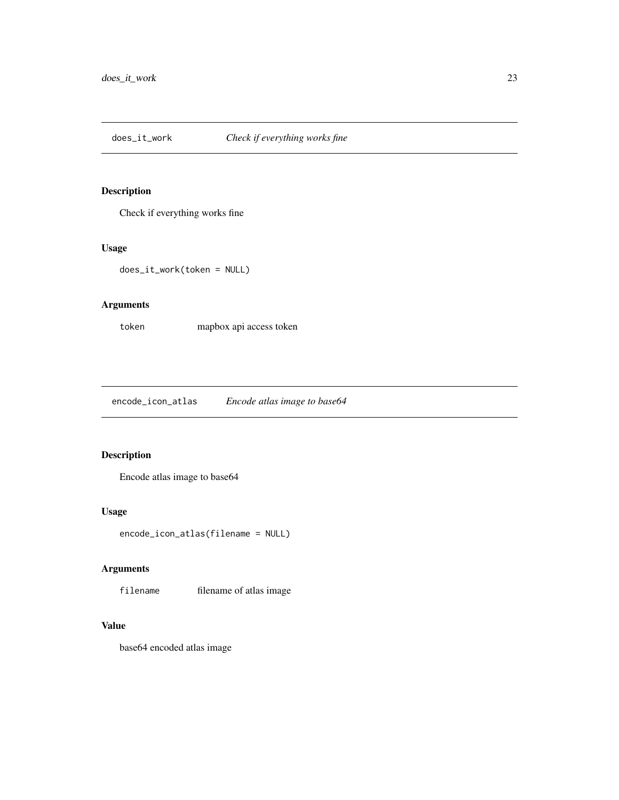<span id="page-22-0"></span>

#### Description

Check if everything works fine

#### Usage

does\_it\_work(token = NULL)

#### Arguments

token mapbox api access token

encode\_icon\_atlas *Encode atlas image to base64*

#### Description

Encode atlas image to base64

#### Usage

encode\_icon\_atlas(filename = NULL)

#### Arguments

filename filename of atlas image

#### Value

base64 encoded atlas image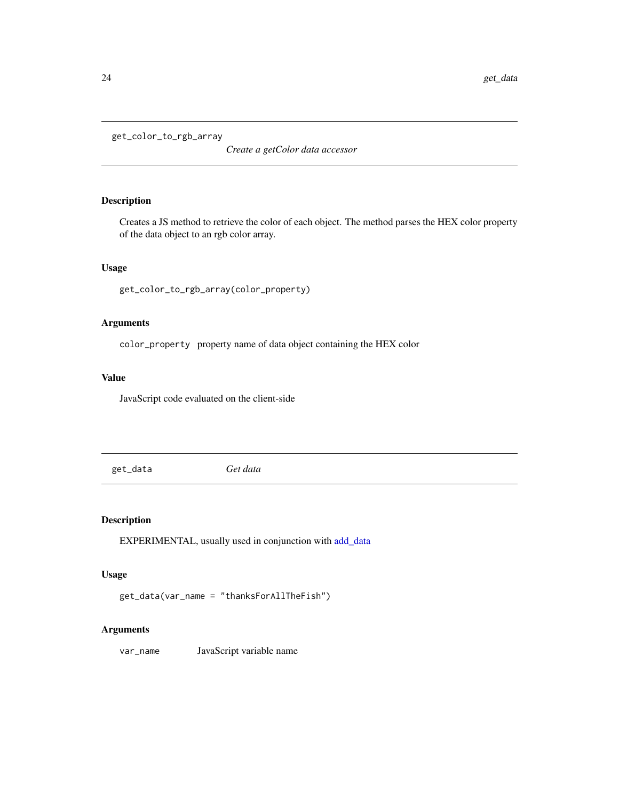<span id="page-23-0"></span>get\_color\_to\_rgb\_array

*Create a getColor data accessor*

#### Description

Creates a JS method to retrieve the color of each object. The method parses the HEX color property of the data object to an rgb color array.

#### Usage

```
get_color_to_rgb_array(color_property)
```
#### Arguments

color\_property property name of data object containing the HEX color

#### Value

JavaScript code evaluated on the client-side

get\_data *Get data*

#### Description

EXPERIMENTAL, usually used in conjunction with [add\\_data](#page-4-1)

#### Usage

```
get_data(var_name = "thanksForAllTheFish")
```
#### Arguments

var\_name JavaScript variable name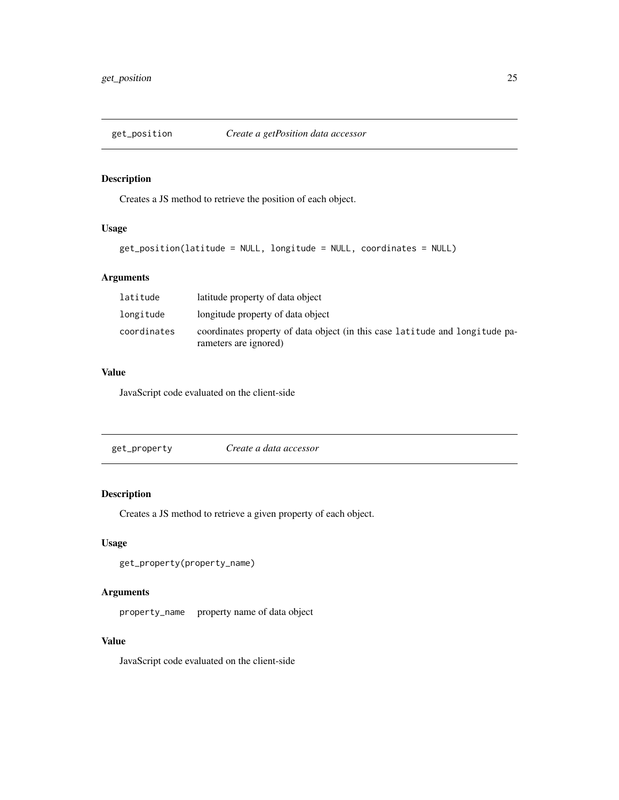<span id="page-24-0"></span>

#### Description

Creates a JS method to retrieve the position of each object.

#### Usage

```
get_position(latitude = NULL, longitude = NULL, coordinates = NULL)
```
#### Arguments

| latitude    | latitude property of data object                                                                      |
|-------------|-------------------------------------------------------------------------------------------------------|
| longitude   | longitude property of data object                                                                     |
| coordinates | coordinates property of data object (in this case latitude and longitude pa-<br>rameters are ignored) |

#### Value

JavaScript code evaluated on the client-side

get\_property *Create a data accessor*

#### Description

Creates a JS method to retrieve a given property of each object.

#### Usage

```
get_property(property_name)
```
#### Arguments

property\_name property name of data object

#### Value

JavaScript code evaluated on the client-side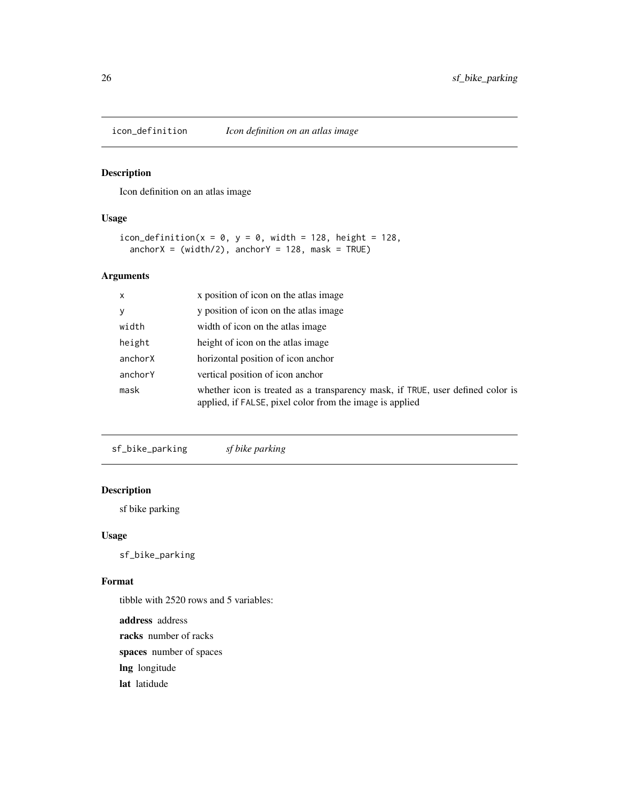<span id="page-25-0"></span>

#### Description

Icon definition on an atlas image

#### Usage

```
icon_definition(x = 0, y = 0, width = 128, height = 128,
 anchorX = (width/2), anchorY = 128, mask = TRUE)
```
#### Arguments

| $\mathsf{x}$ | x position of icon on the atlas image                                                                                                      |
|--------------|--------------------------------------------------------------------------------------------------------------------------------------------|
| y            | y position of icon on the atlas image                                                                                                      |
| width        | width of icon on the atlas image.                                                                                                          |
| height       | height of icon on the atlas image.                                                                                                         |
| anchorX      | horizontal position of icon anchor                                                                                                         |
| anchorY      | vertical position of icon anchor                                                                                                           |
| mask         | whether icon is treated as a transparency mask, if TRUE, user defined color is<br>applied, if FALSE, pixel color from the image is applied |

sf\_bike\_parking *sf bike parking*

#### Description

sf bike parking

#### Usage

sf\_bike\_parking

#### Format

tibble with 2520 rows and 5 variables: address address racks number of racks spaces number of spaces lng longitude lat latidude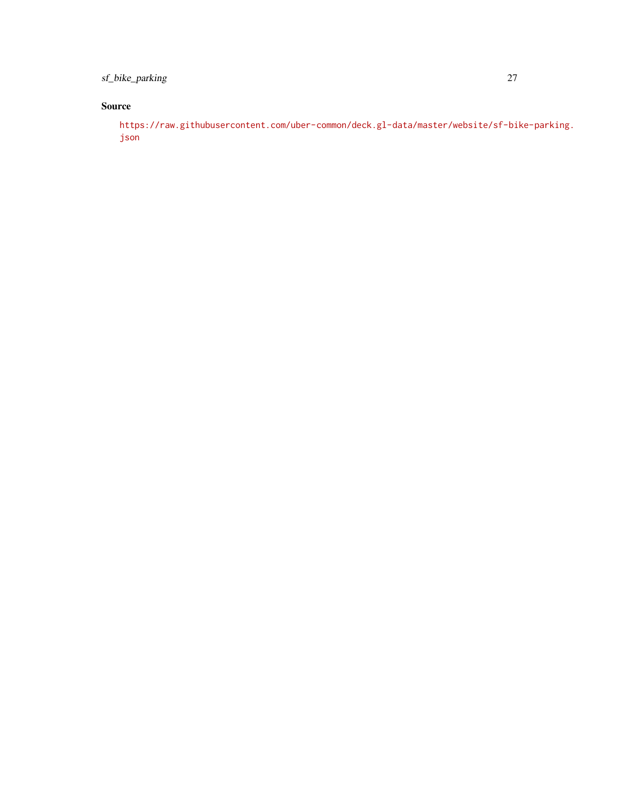sf\_bike\_parking 27

#### Source

[https://raw.githubusercontent.com/uber-common/deck.gl-data/master/website/sf-bi](https://raw.githubusercontent.com/uber-common/deck.gl-data/master/website/sf-bike-parking.json)ke-parking. [json](https://raw.githubusercontent.com/uber-common/deck.gl-data/master/website/sf-bike-parking.json)